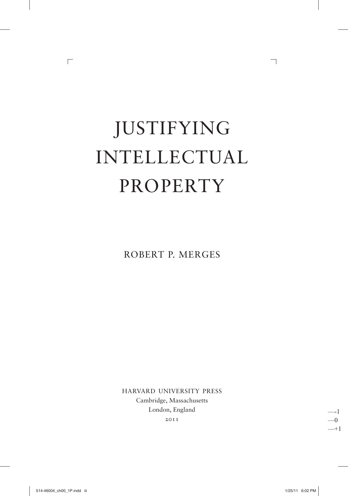# JUSTIFYING INTELLECTUAL PROPERTY

ROBERT P. MERGES

HARVARD UNIVERSITY PRESS Cambridge, Massachusetts London, England 2011

514-46004\_ch00\_1P.indd iii 14-46004\_ch00\_1P.indd 1/25/11 6:02 PM /25/11

 $\Gamma$ 

 $\overline{\phantom{a}}$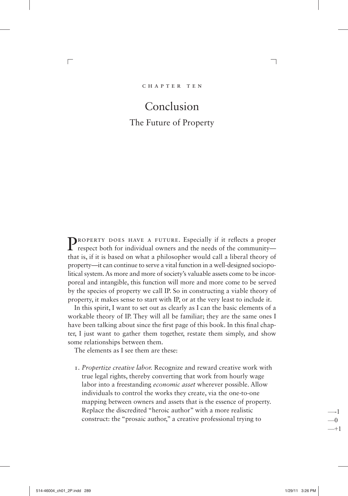#### chapter ten

┑

# Conclusion The Future of Property

PROPERTY DOES HAVE A FUTURE. Especially if it reflects a proper respect both for individual owners and the needs of the community that is, if it is based on what a philosopher would call a liberal theory of property—it can continue to serve a vital function in a well- designed sociopolitical system. As more and more of society's valuable assets come to be incorporeal and intangible, this function will more and more come to be served by the species of property we call IP. So in constructing a viable theory of property, it makes sense to start with IP, or at the very least to include it.

In this spirit, I want to set out as clearly as I can the basic elements of a workable theory of IP. They will all be familiar; they are the same ones I have been talking about since the first page of this book. In this final chapter, I just want to gather them together, restate them simply, and show some relationships between them.

The elements as I see them are these:

1. *Propertize creative labor.* Recognize and reward creative work with true legal rights, thereby converting that work from hourly wage labor into a freestanding *economic asset* wherever possible. Allow individuals to control the works they create, via the one-to-one mapping between owners and assets that is the essence of property. Replace the discredited "heroic author" with a more realistic construct: the "prosaic author," a creative professional trying to

 $\sqrt{2}$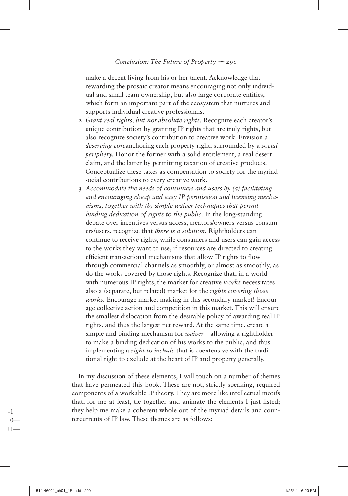make a decent living from his or her talent. Acknowledge that rewarding the prosaic creator means encouraging not only individual and small team ownership, but also large corporate entities, which form an important part of the ecosystem that nurtures and supports individual creative professionals.

- 2. *Grant real rights, but not absolute rights.* Recognize each creator's unique contribution by granting IP rights that are truly rights, but also recognize society's contribution to creative work. Envision a *deserving core*anchoring each property right, surrounded by a *social periphery.* Honor the former with a solid entitlement, a real desert claim, and the latter by permitting taxation of creative products. Conceptualize these taxes as compensation to society for the myriad social contributions to every creative work.
- 3. *Accommodate the needs of consumers and users by (a) facilitating and encouraging cheap and easy IP permission and licensing mechanisms, together with (b) simple waiver techniques that permit binding dedication of rights to the public*. In the long-standing debate over incentives versus access, creators/owners versus consumers/users, recognize that *there is a solution.* Rightholders can continue to receive rights, while consumers and users can gain access to the works they want to use, if resources are directed to creating efficient transactional mechanisms that allow IP rights to flow through commercial channels as smoothly, or almost as smoothly, as do the works covered by those rights. Recognize that, in a world with numerous IP rights, the market for creative *works* necessitates also a (separate, but related) market for the *rights covering those works.* Encourage market making in this secondary market! Encourage collective action and competition in this market. This will ensure the smallest dislocation from the desirable policy of awarding real IP rights, and thus the largest net reward. At the same time, create a simple and binding mechanism for *waiver*— allowing a rightholder to make a binding dedication of his works to the public, and thus implementing a *right to include* that is coextensive with the traditional right to exclude at the heart of IP and property generally.

In my discussion of these elements, I will touch on a number of themes that have permeated this book. These are not, strictly speaking, required components of a workable IP theory. They are more like intellectual motifs that, for me at least, tie together and animate the elements I just listed; they help me make a coherent whole out of the myriad details and countercurrents of IP law. These themes are as follows: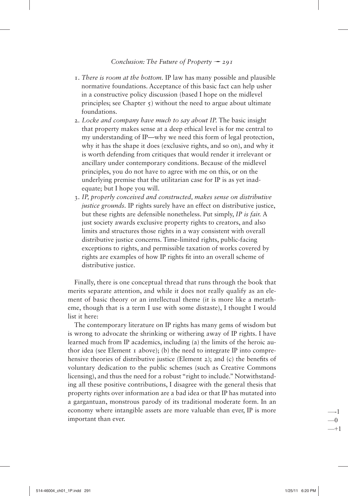- 1. *There is room at the bottom.* IP law has many possible and plausible normative foundations. Acceptance of this basic fact can help usher in a constructive policy discussion (based I hope on the midlevel principles; see Chapter  $\varsigma$ ) without the need to argue about ultimate foundations.
- 2. *Locke and company have much to say about IP.* The basic insight that property makes sense at a deep ethical level is for me central to my understanding of IP—why we need this form of legal protection, why it has the shape it does (exclusive rights, and so on), and why it is worth defending from critiques that would render it irrelevant or ancillary under contemporary conditions. Because of the midlevel principles, you do not have to agree with me on this, or on the underlying premise that the utilitarian case for IP is as yet inadequate; but I hope you will.
- 3. *IP, properly conceived and constructed, makes sense on distributive justice grounds.* IP rights surely have an effect on distributive justice, but these rights are defensible nonetheless. Put simply, *IP is fair.* A just society awards exclusive property rights to creators, and also limits and structures those rights in a way consistent with overall distributive justice concerns. Time-limited rights, public-facing exceptions to rights, and permissible taxation of works covered by rights are examples of how IP rights fit into an overall scheme of distributive justice.

Finally, there is one conceptual thread that runs through the book that merits separate attention, and while it does not really qualify as an element of basic theory or an intellectual theme (it is more like a metatheme, though that is a term I use with some distaste), I thought I would list it here:

The contemporary literature on IP rights has many gems of wisdom but is wrong to advocate the shrinking or withering away of IP rights. I have learned much from IP academics, including (a) the limits of the heroic author idea (see Element  $\bar{1}$  above); (b) the need to integrate IP into comprehensive theories of distributive justice (Element  $2$ ); and (c) the benefits of voluntary dedication to the public schemes (such as Creative Commons licensing), and thus the need for a robust "right to include." Notwithstanding all these positive contributions, I disagree with the general thesis that property rights over information are a bad idea or that IP has mutated into a gargantuan, monstrous parody of its traditional moderate form. In an economy where intangible assets are more valuable than ever, IP is more important than ever.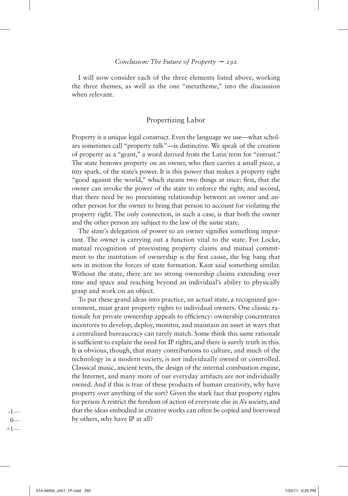I will now consider each of the three elements listed above, working the three themes, as well as the one "metatheme," into the discussion when relevant.

# Propertizing Labor

Property is a unique legal construct. Even the language we use—what scholars sometimes call "property talk"— is distinctive. We speak of the creation of property as a "grant," a word derived from the Latin term for "entrust." The state bestows property on an owner, who then carries a small piece, a tiny spark, of the state's power. It is this power that makes a property right "good against the world," which means two things at once: first, that the owner can invoke the power of the state to enforce the right; and second, that there need be no preexisting relationship between an owner and another person for the owner to bring that person to account for violating the property right. The only connection, in such a case, is that both the owner and the other person are subject to the law of the same state.

The state's delegation of power to an owner signifies something important. The owner is carrying out a function vital to the state. For Locke, mutual recognition of preexisting property claims and mutual commitment to the institution of ownership is the first cause, the big bang that sets in motion the forces of state formation. Kant said something similar. Without the state, there are no strong ownership claims extending over time and space and reaching beyond an individual's ability to physically grasp and work on an object.

To put these grand ideas into practice, an actual state, a recognized government, must grant property rights to individual owners. One classic rationale for private ownership appeals to efficiency: ownership concentrates incentives to develop, deploy, monitor, and maintain an asset in ways that a centralized bureaucracy can rarely match. Some think this same rationale is sufficient to explain the need for IP rights, and there is surely truth in this. It is obvious, though, that many contributions to culture, and much of the technology in a modern society, is not individually owned or controlled. Classical music, ancient texts, the design of the internal combustion engine, the Internet, and many more of our everyday artifacts are not individually owned. And if this is true of these products of human creativity, why have property over anything of the sort? Given the stark fact that property rights for person A restrict the freedom of action of everyone else in A's society, and that the ideas embodied in creative works can often be copied and borrowed by others, why have IP at all?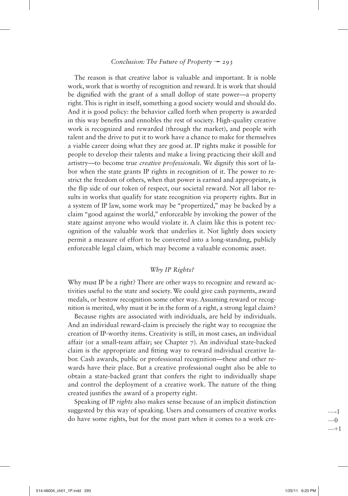The reason is that creative labor is valuable and important. It is noble work, work that is worthy of recognition and reward. It is work that should be dignified with the grant of a small dollop of state power—a property right. This is right in itself, something a good society would and should do. And it is good policy: the behavior called forth when property is awarded in this way benefits and ennobles the rest of society. High-quality creative work is recognized and rewarded (through the market), and people with talent and the drive to put it to work have a chance to make for themselves a viable career doing what they are good at. IP rights make it possible for people to develop their talents and make a living practicing their skill and artistry— to become true *creative professionals.* We dignify this sort of labor when the state grants IP rights in recognition of it. The power to restrict the freedom of others, when that power is earned and appropriate, is the flip side of our token of respect, our societal reward. Not all labor results in works that qualify for state recognition via property rights. But in a system of IP law, some work may be "propertized," may be backed by a claim "good against the world," enforceable by invoking the power of the state against anyone who would violate it. A claim like this is potent recognition of the valuable work that underlies it. Not lightly does society permit a measure of effort to be converted into a long-standing, publicly enforceable legal claim, which may become a valuable economic asset.

# *Why IP Rights?*

Why must IP be a right? There are other ways to recognize and reward activities useful to the state and society. We could give cash payments, award medals, or bestow recognition some other way. Assuming reward or recognition is merited, why must it be in the form of a right, a strong legal claim?

Because rights are associated with individuals, are held by individuals. And an individual reward- claim is precisely the right way to recognize the creation of IP-worthy items. Creativity is still, in most cases, an individual affair (or a small- team affair; see Chapter 7). An individual state- backed claim is the appropriate and fitting way to reward individual creative labor. Cash awards, public or professional recognition— these and other rewards have their place. But a creative professional ought also be able to obtain a state-backed grant that confers the right to individually shape and control the deployment of a creative work. The nature of the thing created justifies the award of a property right.

Speaking of IP *rights* also makes sense because of an implicit distinction suggested by this way of speaking. Users and consumers of creative works do have some rights, but for the most part when it comes to a work cre-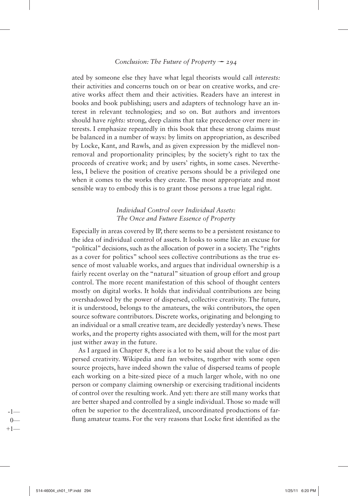ated by someone else they have what legal theorists would call *interests:* their activities and concerns touch on or bear on creative works, and creative works affect them and their activities. Readers have an interest in books and book publishing; users and adapters of technology have an interest in relevant technologies; and so on. But authors and inventors should have *rights*: strong, deep claims that take precedence over mere interests. I emphasize repeatedly in this book that these strong claims must be balanced in a number of ways: by limits on appropriation, as described by Locke, Kant, and Rawls, and as given expression by the midlevel nonremoval and proportionality principles; by the society's right to tax the proceeds of creative work; and by users' rights, in some cases. Nevertheless, I believe the position of creative persons should be a privileged one when it comes to the works they create. The most appropriate and most sensible way to embody this is to grant those persons a true legal right.

# *Individual Control over Individual Assets: The Once and Future Essence of Property*

Especially in areas covered by IP, there seems to be a persistent resistance to the idea of individual control of assets. It looks to some like an excuse for "political" decisions, such as the allocation of power in a society. The "rights" as a cover for politics" school sees collective contributions as the true essence of most valuable works, and argues that individual ownership is a fairly recent overlay on the "natural" situation of group effort and group control. The more recent manifestation of this school of thought centers mostly on digital works. It holds that individual contributions are being overshadowed by the power of dispersed, collective creativity. The future, it is understood, belongs to the amateurs, the wiki contributors, the open source software contributors. Discrete works, originating and belonging to an individual or a small creative team, are decidedly yesterday's news. These works, and the property rights associated with them, will for the most part just wither away in the future.

As I argued in Chapter 8, there is a lot to be said about the value of dispersed creativity. Wikipedia and fan websites, together with some open source projects, have indeed shown the value of dispersed teams of people each working on a bite-sized piece of a much larger whole, with no one person or company claiming ownership or exercising traditional incidents of control over the resulting work. And yet: there are still many works that are better shaped and controlled by a single individual. Those so made will often be superior to the decentralized, uncoordinated productions of farflung amateur teams. For the very reasons that Locke first identified as the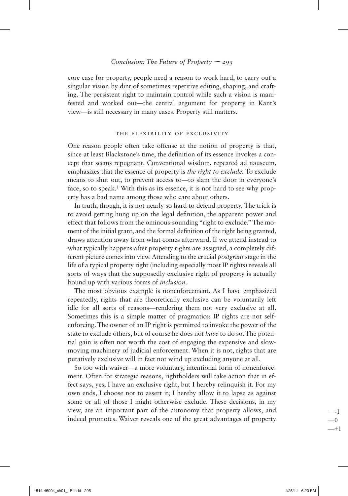core case for property, people need a reason to work hard, to carry out a singular vision by dint of sometimes repetitive editing, shaping, and crafting. The persistent right to maintain control while such a vision is manifested and worked out— the central argument for property in Kant's view— is still necessary in many cases. Property still matters.

#### the flexibility of exclusivity

One reason people often take offense at the notion of property is that, since at least Blackstone's time, the definition of its essence invokes a concept that seems repugnant. Conventional wisdom, repeated ad nauseum, emphasizes that the essence of property is *the right to exclude.* To exclude means to shut out, to prevent access to— to slam the door in everyone's face, so to speak.<sup>1</sup> With this as its essence, it is not hard to see why property has a bad name among those who care about others.

In truth, though, it is not nearly so hard to defend property. The trick is to avoid getting hung up on the legal definition, the apparent power and effect that follows from the ominous- sounding "right to exclude." The moment of the initial grant, and the formal definition of the right being granted, draws attention away from what comes afterward. If we attend instead to what typically happens after property rights are assigned, a completely different picture comes into view. Attending to the crucial *postgrant* stage in the life of a typical property right (including especially most IP rights) reveals all sorts of ways that the supposedly exclusive right of property is actually bound up with various forms of *inclusion.*

The most obvious example is nonenforcement. As I have emphasized repeatedly, rights that are theoretically exclusive can be voluntarily left idle for all sorts of reasons— rendering them not very exclusive at all. Sometimes this is a simple matter of pragmatics: IP rights are not selfenforcing. The owner of an IP right is permitted to invoke the power of the state to exclude others, but of course he does not *have* to do so. The potential gain is often not worth the cost of engaging the expensive and slowmoving machinery of judicial enforcement. When it is not, rights that are putatively exclusive will in fact not wind up excluding anyone at all.

So too with waiver—a more voluntary, intentional form of nonenforcement. Often for strategic reasons, rightholders will take action that in effect says, yes, I have an exclusive right, but I hereby relinquish it. For my own ends, I choose not to assert it; I hereby allow it to lapse as against some or all of those I might otherwise exclude. These decisions, in my view, are an important part of the autonomy that property allows, and indeed promotes. Waiver reveals one of the great advantages of property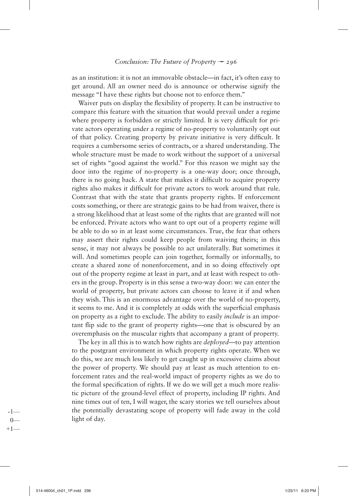as an institution: it is not an immovable obstacle— in fact, it's often easy to get around. All an owner need do is announce or otherwise signify the message "I have these rights but choose not to enforce them."

Waiver puts on display the flexibility of property. It can be instructive to compare this feature with the situation that would prevail under a regime where property is forbidden or strictly limited. It is very difficult for private actors operating under a regime of no- property to voluntarily opt out of that policy. Creating property by private initiative is very difficult. It requires a cumbersome series of contracts, or a shared understanding. The whole structure must be made to work without the support of a universal set of rights "good against the world." For this reason we might say the door into the regime of no- property is a one- way door; once through, there is no going back. A state that makes it difficult to acquire property rights also makes it difficult for private actors to work around that rule. Contrast that with the state that grants property rights. If enforcement costs something, or there are strategic gains to be had from waiver, there is a strong likelihood that at least some of the rights that are granted will not be enforced. Private actors who want to opt out of a property regime will be able to do so in at least some circumstances. True, the fear that others may assert their rights could keep people from waiving theirs; in this sense, it may not always be possible to act unilaterally. But sometimes it will. And sometimes people can join together, formally or informally, to create a shared zone of nonenforcement, and in so doing effectively opt out of the property regime at least in part, and at least with respect to others in the group. Property is in this sense a two- way door: we can enter the world of property, but private actors can choose to leave it if and when they wish. This is an enormous advantage over the world of no- property, it seems to me. And it is completely at odds with the superficial emphasis on property as a right to exclude. The ability to easily *include* is an important flip side to the grant of property rights—one that is obscured by an overemphasis on the muscular rights that accompany a grant of property.

The key in all this is to watch how rights are *deployed*— to pay attention to the postgrant environment in which property rights operate. When we do this, we are much less likely to get caught up in excessive claims about the power of property. We should pay at least as much attention to enforcement rates and the real- world impact of property rights as we do to the formal specification of rights. If we do we will get a much more realistic picture of the ground- level effect of property, including IP rights. And nine times out of ten, I will wager, the scary stories we tell ourselves about the potentially devastating scope of property will fade away in the cold light of day.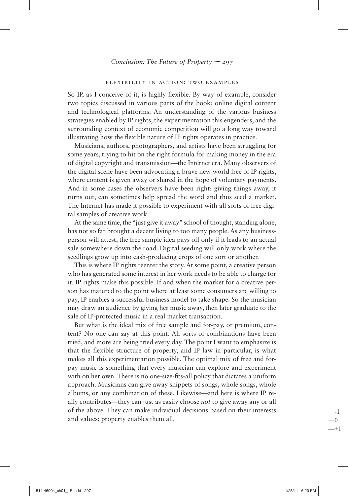#### flexibility in action: two examples

So IP, as I conceive of it, is highly flexible. By way of example, consider two topics discussed in various parts of the book: online digital content and technological platforms. An understanding of the various business strategies enabled by IP rights, the experimentation this engenders, and the surrounding context of economic competition will go a long way toward illustrating how the flexible nature of IP rights operates in practice.

Musicians, authors, photographers, and artists have been struggling for some years, trying to hit on the right formula for making money in the era of digital copyright and transmission— the Internet era. Many observers of the digital scene have been advocating a brave new world free of IP rights, where content is given away or shared in the hope of voluntary payments. And in some cases the observers have been right: giving things away, it turns out, can sometimes help spread the word and thus seed a market. The Internet has made it possible to experiment with all sorts of free digital samples of creative work.

At the same time, the "just give it away" school of thought, standing alone, has not so far brought a decent living to too many people. As any businessperson will attest, the free sample idea pays off only if it leads to an actual sale somewhere down the road. Digital seeding will only work where the seedlings grow up into cash-producing crops of one sort or another.

This is where IP rights reenter the story. At some point, a creative person who has generated some interest in her work needs to be able to charge for it. IP rights make this possible. If and when the market for a creative person has matured to the point where at least some consumers are willing to pay, IP enables a successful business model to take shape. So the musician may draw an audience by giving her music away, then later graduate to the sale of IP-protected music in a real market transaction.

But what is the ideal mix of free sample and for-pay, or premium, content? No one can say at this point. All sorts of combinations have been tried, and more are being tried every day. The point I want to emphasize is that the flexible structure of property, and IP law in particular, is what makes all this experimentation possible. The optimal mix of free and forpay music is something that every musician can explore and experiment with on her own. There is no one-size-fits-all policy that dictates a uniform approach. Musicians can give away snippets of songs, whole songs, whole albums, or any combination of these. Likewise— and here is where IP really contributes— they can just as easily choose *not* to give away any or all of the above. They can make individual decisions based on their interests and values; property enables them all.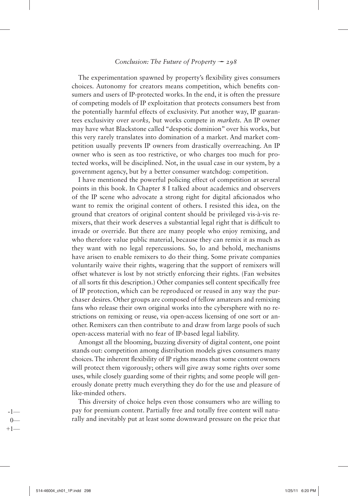The experimentation spawned by property's flexibility gives consumers choices. Autonomy for creators means competition, which benefits consumers and users of IP-protected works. In the end, it is often the pressure of competing models of IP exploitation that protects consumers best from the potentially harmful effects of exclusivity. Put another way, IP guarantees exclusivity over *works*, but works compete in *markets*. An IP owner may have what Blackstone called "despotic dominion" over his works, but this very rarely translates into domination of a market. And market competition usually prevents IP owners from drastically overreaching. An IP owner who is seen as too restrictive, or who charges too much for protected works, will be disciplined. Not, in the usual case in our system, by a government agency, but by a better consumer watchdog: competition.

I have mentioned the powerful policing effect of competition at several points in this book. In Chapter 8 I talked about academics and observers of the IP scene who advocate a strong right for digital aficionados who want to remix the original content of others. I resisted this idea, on the ground that creators of original content should be privileged vis-à-vis remixers, that their work deserves a substantial legal right that is difficult to invade or override. But there are many people who enjoy remixing, and who therefore value public material, because they can remix it as much as they want with no legal repercussions. So, lo and behold, mechanisms have arisen to enable remixers to do their thing. Some private companies voluntarily waive their rights, wagering that the support of remixers will offset whatever is lost by not strictly enforcing their rights. (Fan websites of all sorts fit this description.) Other companies sell content specifically free of IP protection, which can be reproduced or reused in any way the purchaser desires. Other groups are composed of fellow amateurs and remixing fans who release their own original works into the cybersphere with no restrictions on remixing or reuse, via open-access licensing of one sort or another. Remixers can then contribute to and draw from large pools of such open- access material with no fear of IP- based legal liability.

Amongst all the blooming, buzzing diversity of digital content, one point stands out: competition among distribution models gives consumers many choices. The inherent flexibility of IP rights means that some content owners will protect them vigorously; others will give away some rights over some uses, while closely guarding some of their rights; and some people will generously donate pretty much everything they do for the use and pleasure of like-minded others.

This diversity of choice helps even those consumers who are willing to pay for premium content. Partially free and totally free content will naturally and inevitably put at least some downward pressure on the price that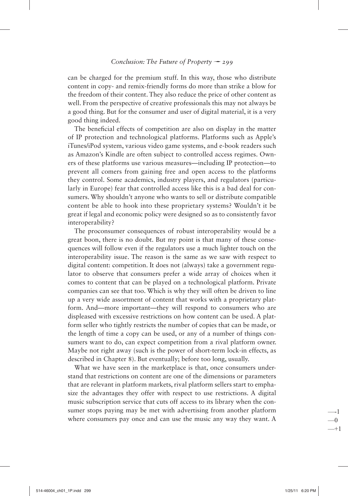can be charged for the premium stuff. In this way, those who distribute content in copy- and remix- friendly forms do more than strike a blow for the freedom of their content. They also reduce the price of other content as well. From the perspective of creative professionals this may not always be a good thing. But for the consumer and user of digital material, it is a very good thing indeed.

The beneficial effects of competition are also on display in the matter of IP protection and technological platforms. Platforms such as Apple's iTunes/iPod system, various video game systems, and e-book readers such as Amazon's Kindle are often subject to controlled access regimes. Owners of these platforms use various measures— including IP protection— to prevent all comers from gaining free and open access to the platforms they control. Some academics, industry players, and regulators (particularly in Europe) fear that controlled access like this is a bad deal for consumers. Why shouldn't anyone who wants to sell or distribute compatible content be able to hook into these proprietary systems? Wouldn't it be great if legal and economic policy were designed so as to consistently favor interoperability?

The proconsumer consequences of robust interoperability would be a great boon, there is no doubt. But my point is that many of these consequences will follow even if the regulators use a much lighter touch on the interoperability issue. The reason is the same as we saw with respect to digital content: competition. It does not (always) take a government regulator to observe that consumers prefer a wide array of choices when it comes to content that can be played on a technological platform. Private companies can see that too. Which is why they will often be driven to line up a very wide assortment of content that works with a proprietary platform. And—more important—they will respond to consumers who are displeased with excessive restrictions on how content can be used. A platform seller who tightly restricts the number of copies that can be made, or the length of time a copy can be used, or any of a number of things consumers want to do, can expect competition from a rival platform owner. Maybe not right away (such is the power of short-term lock-in effects, as described in Chapter 8). But eventually; before too long, usually.

What we have seen in the marketplace is that, once consumers understand that restrictions on content are one of the dimensions or parameters that are relevant in platform markets, rival platform sellers start to emphasize the advantages they offer with respect to use restrictions. A digital music subscription service that cuts off access to its library when the consumer stops paying may be met with advertising from another platform where consumers pay once and can use the music any way they want. A

514-46004\_ch01\_1P.indd 299 1/25/11 6:20 PM 1/25/11 6:20 PM 1/25/11 6:20 PM 1/25/11 6:20 PM 1/25/11 6:20 PM 1/25/11 6:20 PM 1/25/11 6:20 PM 1/25/11 6:20 PM 1/25/11 6:20 PM 1/25/11 6:20 PM 1/25/11 6:20 PM 1/25/11 6:20 PM 1/2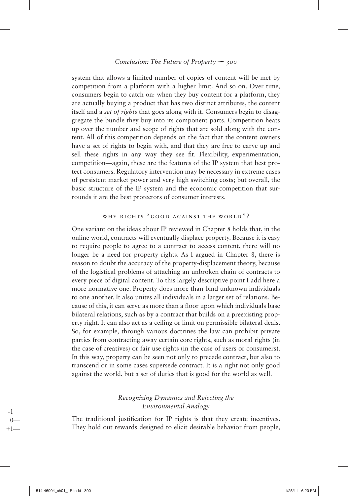system that allows a limited number of copies of content will be met by competition from a platform with a higher limit. And so on. Over time, consumers begin to catch on: when they buy content for a platform, they are actually buying a product that has two distinct attributes, the content itself and a *set of rights* that goes along with it. Consumers begin to disaggregate the bundle they buy into its component parts. Competition heats up over the number and scope of rights that are sold along with the content. All of this competition depends on the fact that the content owners have a set of rights to begin with, and that they are free to carve up and sell these rights in any way they see fit. Flexibility, experimentation, competition— again, these are the features of the IP system that best protect consumers. Regulatory intervention may be necessary in extreme cases of persistent market power and very high switching costs; but overall, the basic structure of the IP system and the economic competition that surrounds it are the best protectors of consumer interests.

### WHY RIGHTS "GOOD AGAINST THE WORLD"?

One variant on the ideas about IP reviewed in Chapter 8 holds that, in the online world, contracts will eventually displace property. Because it is easy to require people to agree to a contract to access content, there will no longer be a need for property rights. As I argued in Chapter 8, there is reason to doubt the accuracy of the property- displacement theory, because of the logistical problems of attaching an unbroken chain of contracts to every piece of digital content. To this largely descriptive point I add here a more normative one. Property does more than bind unknown individuals to one another. It also unites all individuals in a larger set of relations. Because of this, it can serve as more than a floor upon which individuals base bilateral relations, such as by a contract that builds on a preexisting property right. It can also act as a ceiling or limit on permissible bilateral deals. So, for example, through various doctrines the law can prohibit private parties from contracting away certain core rights, such as moral rights (in the case of creatives) or fair use rights (in the case of users or consumers). In this way, property can be seen not only to precede contract, but also to transcend or in some cases supersede contract. It is a right not only good against the world, but a set of duties that is good for the world as well.

# *Recognizing Dynamics and Rejecting the Environmental Analogy*

The traditional justification for IP rights is that they create incentives. They hold out rewards designed to elicit desirable behavior from people,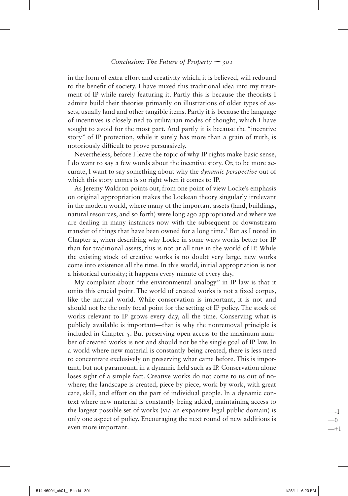in the form of extra effort and creativity which, it is believed, will redound to the benefit of society. I have mixed this traditional idea into my treatment of IP while rarely featuring it. Partly this is because the theorists I admire build their theories primarily on illustrations of older types of assets, usually land and other tangible items. Partly it is because the language of incentives is closely tied to utilitarian modes of thought, which I have sought to avoid for the most part. And partly it is because the "incentive story" of IP protection, while it surely has more than a grain of truth, is notoriously difficult to prove persuasively.

Nevertheless, before I leave the topic of why IP rights make basic sense, I do want to say a few words about the incentive story. Or, to be more accurate, I want to say something about why the *dynamic perspective* out of which this story comes is so right when it comes to IP.

As Jeremy Waldron points out, from one point of view Locke's emphasis on original appropriation makes the Lockean theory singularly irrelevant in the modern world, where many of the important assets (land, buildings, natural resources, and so forth) were long ago appropriated and where we are dealing in many instances now with the subsequent or downstream transfer of things that have been owned for a long time.2 But as I noted in Chapter 2, when describing why Locke in some ways works better for IP than for traditional assets, this is not at all true in the world of IP. While the existing stock of creative works is no doubt very large, new works come into existence all the time. In this world, initial appropriation is not a historical curiosity; it happens every minute of every day.

My complaint about "the environmental analogy" in IP law is that it omits this crucial point. The world of created works is not a fixed corpus, like the natural world. While conservation is important, it is not and should not be the only focal point for the setting of IP policy. The stock of works relevant to IP grows every day, all the time. Conserving what is publicly available is important— that is why the nonremoval principle is included in Chapter 5. But preserving open access to the maximum number of created works is not and should not be the single goal of IP law. In a world where new material is constantly being created, there is less need to concentrate exclusively on preserving what came before. This is important, but not paramount, in a dynamic field such as IP. Conservation alone loses sight of a simple fact. Creative works do not come to us out of nowhere; the landscape is created, piece by piece, work by work, with great care, skill, and effort on the part of individual people. In a dynamic context where new material is constantly being added, maintaining access to the largest possible set of works (via an expansive legal public domain) is only one aspect of policy. Encouraging the next round of new additions is even more important.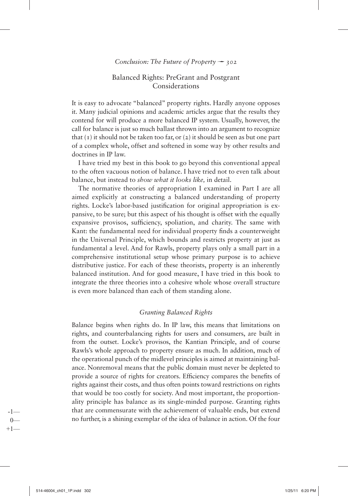# Balanced Rights: PreGrant and Postgrant Considerations

It is easy to advocate "balanced" property rights. Hardly anyone opposes it. Many judicial opinions and academic articles argue that the results they contend for will produce a more balanced IP system. Usually, however, the call for balance is just so much ballast thrown into an argument to recognize that  $(I)$  it should not be taken too far, or  $(2)$  it should be seen as but one part of a complex whole, offset and softened in some way by other results and doctrines in IP law.

I have tried my best in this book to go beyond this conventional appeal to the often vacuous notion of balance. I have tried not to even talk about balance, but instead to *show what it looks like,* in detail.

The normative theories of appropriation I examined in Part I are all aimed explicitly at constructing a balanced understanding of property rights. Locke's labor-based justification for original appropriation is expansive, to be sure; but this aspect of his thought is offset with the equally expansive provisos, sufficiency, spoliation, and charity. The same with Kant: the fundamental need for individual property finds a counterweight in the Universal Principle, which bounds and restricts property at just as fundamental a level. And for Rawls, property plays only a small part in a comprehensive institutional setup whose primary purpose is to achieve distributive justice. For each of these theorists, property is an inherently balanced institution. And for good measure, I have tried in this book to integrate the three theories into a cohesive whole whose overall structure is even more balanced than each of them standing alone.

#### *Granting Balanced Rights*

Balance begins when rights do. In IP law, this means that limitations on rights, and counterbalancing rights for users and consumers, are built in from the outset. Locke's provisos, the Kantian Principle, and of course Rawls's whole approach to property ensure as much. In addition, much of the operational punch of the midlevel principles is aimed at maintaining balance. Nonremoval means that the public domain must never be depleted to provide a source of rights for creators. Efficiency compares the benefits of rights against their costs, and thus often points toward restrictions on rights that would be too costly for society. And most important, the proportionality principle has balance as its single- minded purpose. Granting rights that are commensurate with the achievement of valuable ends, but extend no further, is a shining exemplar of the idea of balance in action. Of the four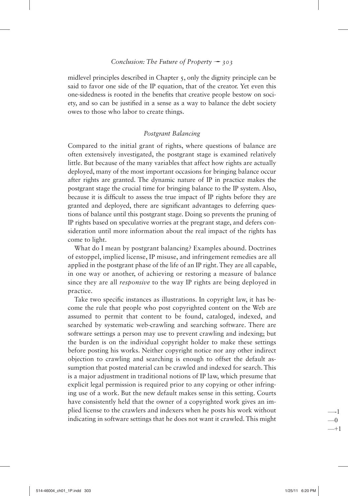midlevel principles described in Chapter 5, only the dignity principle can be said to favor one side of the IP equation, that of the creator. Yet even this one-sidedness is rooted in the benefits that creative people bestow on society, and so can be justified in a sense as a way to balance the debt society owes to those who labor to create things.

#### *Postgrant Balancing*

Compared to the initial grant of rights, where questions of balance are often extensively investigated, the postgrant stage is examined relatively little. But because of the many variables that affect how rights are actually deployed, many of the most important occasions for bringing balance occur after rights are granted. The dynamic nature of IP in practice makes the postgrant stage the crucial time for bringing balance to the IP system. Also, because it is difficult to assess the true impact of IP rights before they are granted and deployed, there are significant advantages to deferring questions of balance until this postgrant stage. Doing so prevents the pruning of IP rights based on speculative worries at the pregrant stage, and defers consideration until more information about the real impact of the rights has come to light.

What do I mean by postgrant balancing? Examples abound. Doctrines of estoppel, implied license, IP misuse, and infringement remedies are all applied in the postgrant phase of the life of an IP right. They are all capable, in one way or another, of achieving or restoring a measure of balance since they are all *responsive* to the way IP rights are being deployed in practice.

Take two specific instances as illustrations. In copyright law, it has become the rule that people who post copyrighted content on the Web are assumed to permit that content to be found, cataloged, indexed, and searched by systematic web-crawling and searching software. There are software settings a person may use to prevent crawling and indexing; but the burden is on the individual copyright holder to make these settings before posting his works. Neither copyright notice nor any other indirect objection to crawling and searching is enough to offset the default assumption that posted material can be crawled and indexed for search. This is a major adjustment in traditional notions of IP law, which presume that explicit legal permission is required prior to any copying or other infringing use of a work. But the new default makes sense in this setting. Courts have consistently held that the owner of a copyrighted work gives an implied license to the crawlers and indexers when he posts his work without indicating in software settings that he does not want it crawled. This might

—-1 —0 —+1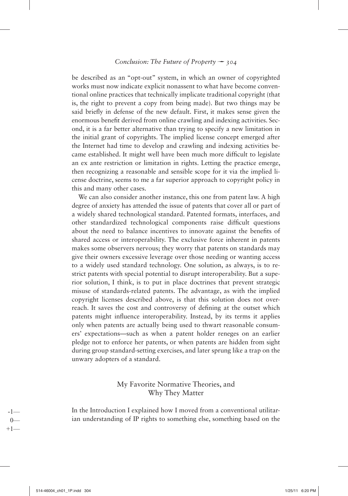be described as an "opt-out" system, in which an owner of copyrighted works must now indicate explicit nonassent to what have become conventional online practices that technically implicate traditional copyright (that is, the right to prevent a copy from being made). But two things may be said briefly in defense of the new default. First, it makes sense given the enormous benefit derived from online crawling and indexing activities. Second, it is a far better alternative than trying to specify a new limitation in the initial grant of copyrights. The implied license concept emerged after the Internet had time to develop and crawling and indexing activities became established. It might well have been much more difficult to legislate an ex ante restriction or limitation in rights. Letting the practice emerge, then recognizing a reasonable and sensible scope for it via the implied license doctrine, seems to me a far superior approach to copyright policy in this and many other cases.

We can also consider another instance, this one from patent law. A high degree of anxiety has attended the issue of patents that cover all or part of a widely shared technological standard. Patented formats, interfaces, and other standardized technological components raise difficult questions about the need to balance incentives to innovate against the benefits of shared access or interoperability. The exclusive force inherent in patents makes some observers nervous; they worry that patents on standards may give their owners excessive leverage over those needing or wanting access to a widely used standard technology. One solution, as always, is to restrict patents with special potential to disrupt interoperability. But a superior solution, I think, is to put in place doctrines that prevent strategic misuse of standards- related patents. The advantage, as with the implied copyright licenses described above, is that this solution does not overreach. It saves the cost and controversy of defining at the outset which patents might influence interoperability. Instead, by its terms it applies only when patents are actually being used to thwart reasonable consumers' expectations— such as when a patent holder reneges on an earlier pledge not to enforce her patents, or when patents are hidden from sight during group standard- setting exercises, and later sprung like a trap on the unwary adopters of a standard.

# My Favorite Normative Theories, and Why They Matter

In the Introduction I explained how I moved from a conventional utilitarian understanding of IP rights to something else, something based on the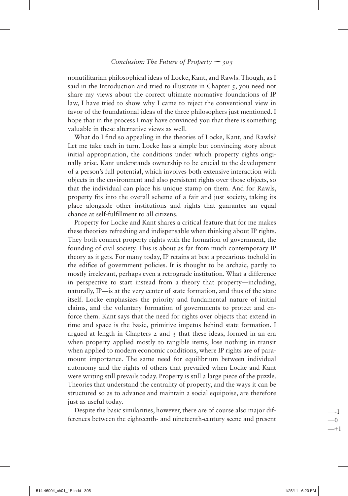nonutilitarian philosophical ideas of Locke, Kant, and Rawls. Though, as I said in the Introduction and tried to illustrate in Chapter 5, you need not share my views about the correct ultimate normative foundations of IP law, I have tried to show why I came to reject the conventional view in favor of the foundational ideas of the three philosophers just mentioned. I hope that in the process I may have convinced you that there is something valuable in these alternative views as well.

What do I find so appealing in the theories of Locke, Kant, and Rawls? Let me take each in turn. Locke has a simple but convincing story about initial appropriation, the conditions under which property rights originally arise. Kant understands ownership to be crucial to the development of a person's full potential, which involves both extensive interaction with objects in the environment and also persistent rights over those objects, so that the individual can place his unique stamp on them. And for Rawls, property fits into the overall scheme of a fair and just society, taking its place alongside other institutions and rights that guarantee an equal chance at self-fulfillment to all citizens.

Property for Locke and Kant shares a critical feature that for me makes these theorists refreshing and indispensable when thinking about IP rights. They both connect property rights with the formation of government, the founding of civil society. This is about as far from much contemporary IP theory as it gets. For many today, IP retains at best a precarious toehold in the edifice of government policies. It is thought to be archaic, partly to mostly irrelevant, perhaps even a retrograde institution. What a difference in perspective to start instead from a theory that property— including, naturally, IP—is at the very center of state formation, and thus of the state itself. Locke emphasizes the priority and fundamental nature of initial claims, and the voluntary formation of governments to protect and enforce them. Kant says that the need for rights over objects that extend in time and space is the basic, primitive impetus behind state formation. I argued at length in Chapters 2 and 3 that these ideas, formed in an era when property applied mostly to tangible items, lose nothing in transit when applied to modern economic conditions, where IP rights are of paramount importance. The same need for equilibrium between individual autonomy and the rights of others that prevailed when Locke and Kant were writing still prevails today. Property is still a large piece of the puzzle. Theories that understand the centrality of property, and the ways it can be structured so as to advance and maintain a social equipoise, are therefore just as useful today.

Despite the basic similarities, however, there are of course also major differences between the eighteenth- and nineteenth- century scene and present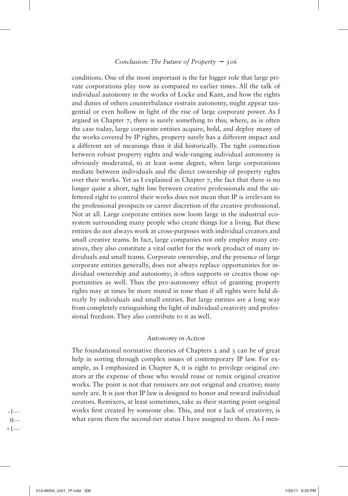conditions. One of the most important is the far bigger role that large private corporations play now as compared to earlier times. All the talk of individual autonomy in the works of Locke and Kant, and how the rights and duties of others counterbalance restrain autonomy, might appear tangential or even hollow in light of the rise of large corporate power. As I argued in Chapter 7, there is surely something to this; where, as is often the case today, large corporate entities acquire, hold, and deploy many of the works covered by IP rights, property surely has a different impact and a different set of meanings than it did historically. The tight connection between robust property rights and wide-ranging individual autonomy is obviously moderated, to at least some degree, when large corporations mediate between individuals and the direct ownership of property rights over their works. Yet as I explained in Chapter 7, the fact that there is no longer quite a short, tight line between creative professionals and the unfettered right to control their works does not mean that IP is irrelevant to the professional prospects or career discretion of the creative professional. Not at all. Large corporate entities now loom large in the industrial ecosystem surrounding many people who create things for a living. But these entities do not always work at cross- purposes with individual creators and small creative teams. In fact, large companies not only employ many creatives, they also constitute a vital outlet for the work product of many individuals and small teams. Corporate ownership, and the presence of large corporate entities generally, does not always replace opportunities for individual ownership and autonomy; it often supports or creates those opportunities as well. Thus the pro-autonomy effect of granting property rights may at times be more muted in tone than if all rights were held directly by individuals and small entities. But large entities are a long way from completely extinguishing the light of individual creativity and professional freedom. They also contribute to it as well.

#### *Autonomy in Action*

The foundational normative theories of Chapters 2 and 3 can be of great help in sorting through complex issues of contemporary IP law. For example, as I emphasized in Chapter 8, it is right to privilege original creators at the expense of those who would reuse or remix original creative works. The point is not that remixers are not original and creative; many surely are. It is just that IP law is designed to honor and reward individual creators. Remixers, at least sometimes, take as their starting point original works first created by someone else. This, and not a lack of creativity, is what earns them the second-tier status I have assigned to them. As I men-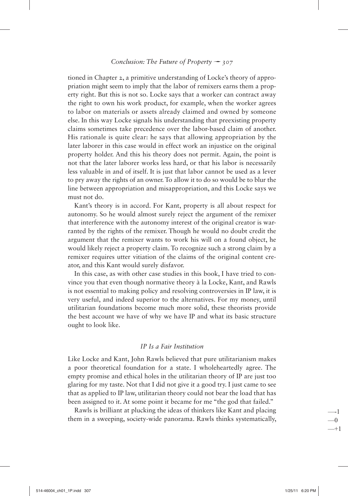tioned in Chapter 2, a primitive understanding of Locke's theory of appropriation might seem to imply that the labor of remixers earns them a property right. But this is not so. Locke says that a worker can contract away the right to own his work product, for example, when the worker agrees to labor on materials or assets already claimed and owned by someone else. In this way Locke signals his understanding that preexisting property claims sometimes take precedence over the labor-based claim of another. His rationale is quite clear: he says that allowing appropriation by the later laborer in this case would in effect work an injustice on the original property holder. And this his theory does not permit. Again, the point is not that the later laborer works less hard, or that his labor is necessarily less valuable in and of itself. It is just that labor cannot be used as a lever to pry away the rights of an owner. To allow it to do so would be to blur the line between appropriation and misappropriation, and this Locke says we must not do.

Kant's theory is in accord. For Kant, property is all about respect for autonomy. So he would almost surely reject the argument of the remixer that interference with the autonomy interest of the original creator is warranted by the rights of the remixer. Though he would no doubt credit the argument that the remixer wants to work his will on a found object, he would likely reject a property claim. To recognize such a strong claim by a remixer requires utter vitiation of the claims of the original content creator, and this Kant would surely disfavor.

In this case, as with other case studies in this book, I have tried to convince you that even though normative theory à la Locke, Kant, and Rawls is not essential to making policy and resolving controversies in IP law, it is very useful, and indeed superior to the alternatives. For my money, until utilitarian foundations become much more solid, these theorists provide the best account we have of why we have IP and what its basic structure ought to look like.

#### *IP Is a Fair Institution*

Like Locke and Kant, John Rawls believed that pure utilitarianism makes a poor theoretical foundation for a state. I wholeheartedly agree. The empty promise and ethical holes in the utilitarian theory of IP are just too glaring for my taste. Not that I did not give it a good try. I just came to see that as applied to IP law, utilitarian theory could not bear the load that has been assigned to it. At some point it became for me "the god that failed."

Rawls is brilliant at plucking the ideas of thinkers like Kant and placing them in a sweeping, society- wide panorama. Rawls thinks systematically,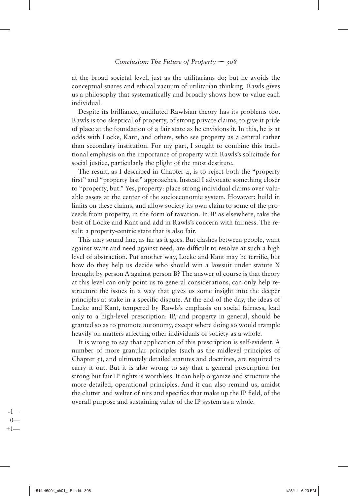at the broad societal level, just as the utilitarians do; but he avoids the conceptual snares and ethical vacuum of utilitarian thinking. Rawls gives us a philosophy that systematically and broadly shows how to value each individual.

Despite its brilliance, undiluted Rawlsian theory has its problems too. Rawls is too skeptical of property, of strong private claims, to give it pride of place at the foundation of a fair state as he envisions it. In this, he is at odds with Locke, Kant, and others, who see property as a central rather than secondary institution. For my part, I sought to combine this traditional emphasis on the importance of property with Rawls's solicitude for social justice, particularly the plight of the most destitute.

The result, as I described in Chapter 4, is to reject both the "property first" and "property last" approaches. Instead I advocate something closer to "property, but." Yes, property: place strong individual claims over valuable assets at the center of the socioeconomic system. However: build in limits on these claims, and allow society its own claim to some of the proceeds from property, in the form of taxation. In IP as elsewhere, take the best of Locke and Kant and add in Rawls's concern with fairness. The result: a property-centric state that is also fair.

This may sound fine, as far as it goes. But clashes between people, want against want and need against need, are difficult to resolve at such a high level of abstraction. Put another way, Locke and Kant may be terrific, but how do they help us decide who should win a lawsuit under statute X brought by person A against person B? The answer of course is that theory at this level can only point us to general considerations, can only help restructure the issues in a way that gives us some insight into the deeper principles at stake in a specific dispute. At the end of the day, the ideas of Locke and Kant, tempered by Rawls's emphasis on social fairness, lead only to a high-level prescription: IP, and property in general, should be granted so as to promote autonomy, except where doing so would trample heavily on matters affecting other individuals or society as a whole.

It is wrong to say that application of this prescription is self-evident. A number of more granular principles (such as the midlevel principles of Chapter 5), and ultimately detailed statutes and doctrines, are required to carry it out. But it is also wrong to say that a general prescription for strong but fair IP rights is worthless. It can help organize and structure the more detailed, operational principles. And it can also remind us, amidst the clutter and welter of nits and specifics that make up the IP field, of the overall purpose and sustaining value of the IP system as a whole.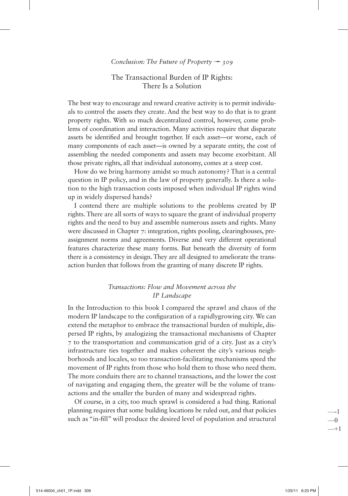# The Transactional Burden of IP Rights: There Is a Solution

The best way to encourage and reward creative activity is to permit individuals to control the assets they create. And the best way to do that is to grant property rights. With so much decentralized control, however, come problems of coordination and interaction. Many activities require that disparate assets be identified and brought together. If each asset—or worse, each of many components of each asset—is owned by a separate entity, the cost of assembling the needed components and assets may become exorbitant. All those private rights, all that individual autonomy, comes at a steep cost.

How do we bring harmony amidst so much autonomy? That is a central question in IP policy, and in the law of property generally. Is there a solution to the high transaction costs imposed when individual IP rights wind up in widely dispersed hands?

I contend there are multiple solutions to the problems created by IP rights. There are all sorts of ways to square the grant of individual property rights and the need to buy and assemble numerous assets and rights. Many were discussed in Chapter 7: integration, rights pooling, clearing houses, preassignment norms and agreements. Diverse and very different operational features characterize these many forms. But beneath the diversity of form there is a consistency in design. They are all designed to ameliorate the transaction burden that follows from the granting of many discrete IP rights.

# *Transactions: Flow and Movement across the IP Landscape*

In the Introduction to this book I compared the sprawl and chaos of the modern IP landscape to the configuration of a rapidlygrowing city. We can extend the metaphor to embrace the transactional burden of multiple, dispersed IP rights, by analogizing the transactional mechanisms of Chapter 7 to the transportation and communication grid of a city. Just as a city's infrastructure ties together and makes coherent the city's various neighborhoods and locales, so too transaction- facilitating mechanisms speed the movement of IP rights from those who hold them to those who need them. The more conduits there are to channel transactions, and the lower the cost of navigating and engaging them, the greater will be the volume of transactions and the smaller the burden of many and widespread rights.

Of course, in a city, too much sprawl is considered a bad thing. Rational planning requires that some building locations be ruled out, and that policies such as "in-fill" will produce the desired level of population and structural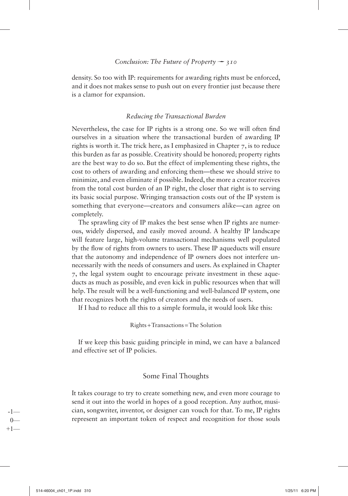density. So too with IP: requirements for awarding rights must be enforced, and it does not makes sense to push out on every frontier just because there is a clamor for expansion.

#### *Reducing the Transactional Burden*

Nevertheless, the case for IP rights is a strong one. So we will often find ourselves in a situation where the transactional burden of awarding IP rights is worth it. The trick here, as I emphasized in Chapter 7, is to reduce this burden as far as possible. Creativity should be honored; property rights are the best way to do so. But the effect of implementing these rights, the cost to others of awarding and enforcing them— these we should strive to minimize, and even eliminate if possible. Indeed, the more a creator receives from the total cost burden of an IP right, the closer that right is to serving its basic social purpose. Wringing transaction costs out of the IP system is something that everyone— creators and consumers alike— can agree on completely.

The sprawling city of IP makes the best sense when IP rights are numerous, widely dispersed, and easily moved around. A healthy IP landscape will feature large, high-volume transactional mechanisms well populated by the flow of rights from owners to users. These IP aqueducts will ensure that the autonomy and independence of IP owners does not interfere unnecessarily with the needs of consumers and users. As explained in Chapter 7, the legal system ought to encourage private investment in these aqueducts as much as possible, and even kick in public resources when that will help. The result will be a well-functioning and well-balanced IP system, one that recognizes both the rights of creators and the needs of users.

If I had to reduce all this to a simple formula, it would look like this:

#### Rights + Transactions = The Solution

If we keep this basic guiding principle in mind, we can have a balanced and effective set of IP policies.

#### Some Final Thoughts

It takes courage to try to create something new, and even more courage to send it out into the world in hopes of a good reception. Any author, musician, songwriter, inventor, or designer can vouch for that. To me, IP rights represent an important token of respect and recognition for those souls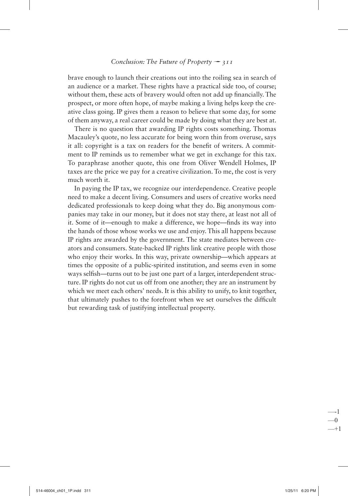brave enough to launch their creations out into the roiling sea in search of an audience or a market. These rights have a practical side too, of course; without them, these acts of bravery would often not add up financially. The prospect, or more often hope, of maybe making a living helps keep the creative class going. IP gives them a reason to believe that some day, for some of them anyway, a real career could be made by doing what they are best at.

There is no question that awarding IP rights costs something. Thomas Macauley's quote, no less accurate for being worn thin from overuse, says it all: copyright is a tax on readers for the benefit of writers. A commitment to IP reminds us to remember what we get in exchange for this tax. To paraphrase another quote, this one from Oliver Wendell Holmes, IP taxes are the price we pay for a creative civilization. To me, the cost is very much worth it.

In paying the IP tax, we recognize our interdependence. Creative people need to make a decent living. Consumers and users of creative works need dedicated professionals to keep doing what they do. Big anonymous companies may take in our money, but it does not stay there, at least not all of it. Some of it—enough to make a difference, we hope—finds its way into the hands of those whose works we use and enjoy. This all happens because IP rights are awarded by the government. The state mediates between creators and consumers. State-backed IP rights link creative people with those who enjoy their works. In this way, private ownership—which appears at times the opposite of a public-spirited institution, and seems even in some ways selfish—turns out to be just one part of a larger, interdependent structure. IP rights do not cut us off from one another; they are an instrument by which we meet each others' needs. It is this ability to unify, to knit together, that ultimately pushes to the forefront when we set ourselves the difficult but rewarding task of justifying intellectual property.